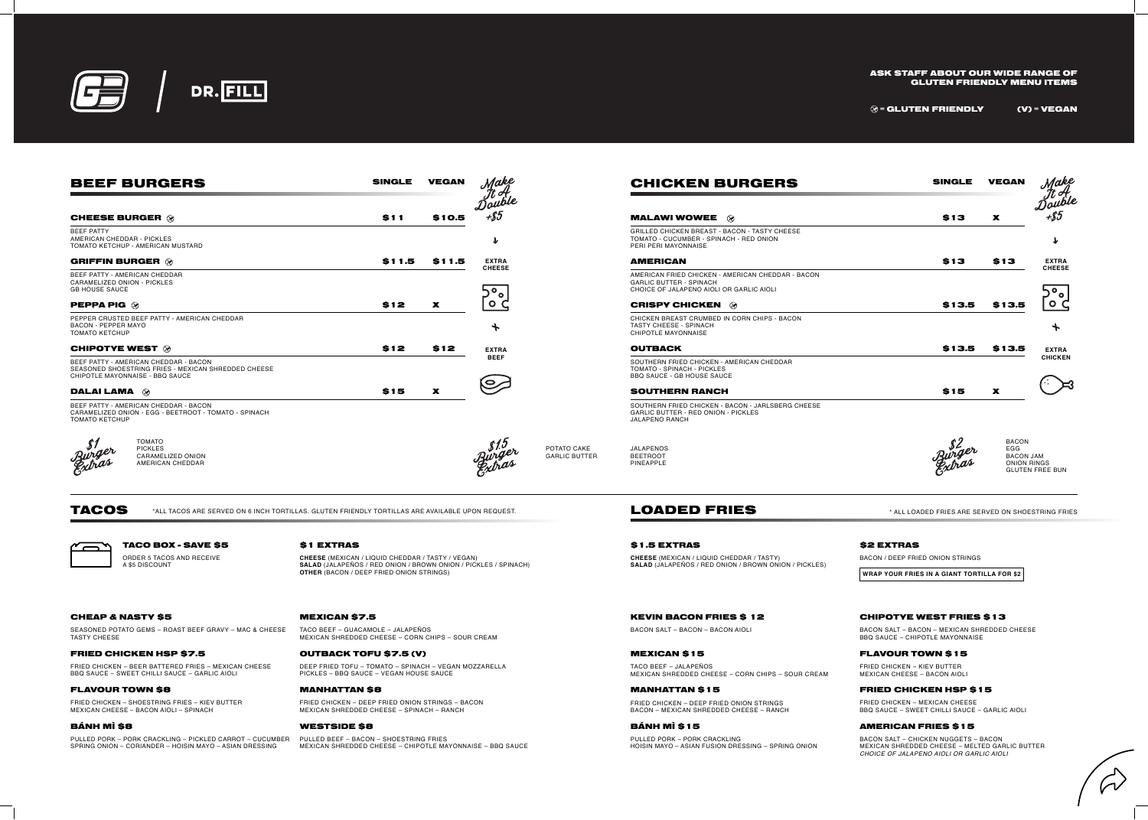TACOS

 $\overline{ }$ 

SEASONED POTATO GEMS – ROAST BEEF GRAVY – MAC & CHEESE TASTY CHEESE

\*ALL TACOS ARE SERVED ON 6 INCH TORTILLAS. GLUTEN FRIENDLY TORTILLAS ARE AVAILABLE UPON REQUEST.

TACO BEEF – GUACAMOLE – JALAPEÑOS MEXICAN SHREDDED CHEESE – CORN CHIPS – SOUR CREAM

#### MANHATTAN \$8

PULLED PORK – PORK CRACKLING – PICKLED CARROT – CUCUMBER PULLED BEEF – BACON – SHOESTRING FRIES SPRING ONION – CORIANDER – HOISIN MAYO – ASIAN DRESSING

FRIED CHICKEN – DEEP FRIED ONION STRINGS – BACON MEXICAN SHREDDED CHEESE – SPINACH – RANCH

#### WESTSIDE \$8

MEXICAN SHREDDED CHEESE – CHIPOTLE MAYONNAISE – BBQ SAUCE

# BÁNH MÌ \$8

# FLAVOUR TOWN \$8

FRIED CHICKEN – SHOESTRING FRIES – KIEV BUTTER MEXICAN CHEESE – BACON AIOLI – SPINACH

# \$1 EXTRAS

**CHEESE** (MEXICAN / LIQUID CHEDDAR / TASTY / VEGAN) **SALAD** (JALAPEÑOS / RED ONION / BROWN ONION / PICKLES / SPINACH) **OTHER** (BACON / DEEP FRIED ONION STRINGS)

# CHEAP & NASTY \$5 MEXICAN \$7.5

# OUTBACK TOFU \$7.5 (V)

DEEP FRIED TOFU – TOMATO – SPINACH – VEGAN MOZZARELLA PICKLES – BBQ SAUCE – VEGAN HOUSE SAUCE

#### FRIED CHICKEN HSP \$7.5

FRIED CHICKEN – BEER BATTERED FRIES – MEXICAN CHEESE BBQ SAUCE – SWEET CHILLI SAUCE – GARLIC AIOLI

# TACO BOX - SAVE \$5

ORDER 5 TACOS AND RECEIVE A \$5 DISCOUNT

## ASK STAFF ABOUT OUR WIDE RANGE OF GLUTEN FRIENDLY MENU ITEMS

 $\mathcal{D} =$  GLUTEN FRIENDLY (V) = VEGAN

\* ALL LOADED FRIES ARE SERVED ON SHOESTRING FRIES

# MEXICAN \$15

TACO BEEF – JALAPEÑOS MEXICAN SHREDDED CHEESE – CORN CHIPS – SOUR CREAM

# \$1.5 EXTRAS \$2 EXTRAS

**CHEESE** (MEXICAN / LIQUID CHEDDAR / TASTY) **SALAD** (JALAPEÑOS / RED ONION / BROWN ONION / PICKLES) BACON / DEEP FRIED ONION STRINGS

FRIED CHICKEN – MEXICAN CHEESE BBQ SAUCE – SWEET CHILLI SAUCE – GARLIC AIOLI

### AMERICAN FRIES \$15

BACON SALT – CHICKEN NUGGETS – BACON MEXICAN SHREDDED CHEESE – MELTED GARLIC BUTTER *CHOICE OF JALAPENO AIOLI OR GARLIC AIOLI*

# KEVIN BACON FRIES \$ 12

BACON SALT – BACON – BACON AIOLI



| <b>BEEF BURGERS</b>                                                                                                             | <b>SINGLE</b><br><b>VEGAN</b> |             | Make                              |                                     | <b>CHICKEN B</b>                                                                             |
|---------------------------------------------------------------------------------------------------------------------------------|-------------------------------|-------------|-----------------------------------|-------------------------------------|----------------------------------------------------------------------------------------------|
| <b>CHEESE BURGER @</b>                                                                                                          | \$11                          | \$10.5      | Double<br>$+$ \$5                 |                                     | <b>MALAWI WOWEE</b>                                                                          |
| <b>BEEF PATTY</b><br>AMERICAN CHEDDAR - PICKLES<br>TOMATO KETCHUP - AMERICAN MUSTARD                                            |                               |             | $\mathbf{\downarrow}$             |                                     | <b>GRILLED CHICKEN BREAST - B.</b><br>TOMATO - CUCUMBER - SPINA<br>PERI PERI MAYONNAISE      |
| <b>GRIFFIN BURGER @</b>                                                                                                         | \$11.5                        | \$11.5      | <b>EXTRA</b>                      |                                     | <b>AMERICAN</b>                                                                              |
| BEEF PATTY - AMERICAN CHEDDAR<br>CARAMELIZED ONION - PICKLES<br><b>GB HOUSE SAUCE</b>                                           |                               |             | <b>CHEESE</b><br>$\overline{O}_0$ |                                     | AMERICAN FRIED CHICKEN - AI<br><b>GARLIC BUTTER - SPINACH</b><br>CHOICE OF JALAPENO AIOLI O  |
| <b>PEPPA PIG <math>\otimes</math></b>                                                                                           | \$12                          | $\mathbf x$ | O C                               |                                     | <b>CRISPY CHICKEN</b>                                                                        |
| PEPPER CRUSTED BEEF PATTY - AMERICAN CHEDDAR<br><b>BACON - PEPPER MAYO</b><br><b>TOMATO KETCHUP</b>                             |                               |             | $\bm{+}$                          |                                     | CHICKEN BREAST CRUMBED IN<br><b>TASTY CHEESE - SPINACH</b><br><b>CHIPOTLE MAYONNAISE</b>     |
| <b>CHIPOTYE WEST 28</b>                                                                                                         | \$12                          | \$12        | <b>EXTRA</b>                      |                                     | <b>OUTBACK</b>                                                                               |
| BEEF PATTY - AMERICAN CHEDDAR - BACON<br>SEASONED SHOESTRING FRIES - MEXICAN SHREDDED CHEESE<br>CHIPOTLE MAYONNAISE - BBQ SAUCE |                               |             | <b>BEEF</b><br>$\bullet$          |                                     | SOUTHERN FRIED CHICKEN - A<br>TOMATO - SPINACH - PICKLES<br><b>BBQ SAUCE - GB HOUSE SAUC</b> |
| <b>DALAI LAMA</b> $\otimes$                                                                                                     | \$15                          | $\mathbf x$ |                                   |                                     | <b>SOUTHERN RANCH</b>                                                                        |
| BEEF PATTY - AMERICAN CHEDDAR - BACON<br>CARAMELIZED ONION - EGG - BEETROOT - TOMATO - SPINACH<br><b>TOMATO KETCHUP</b>         |                               |             |                                   |                                     | SOUTHERN FRIED CHICKEN - B<br><b>GARLIC BUTTER - RED ONION</b><br><b>JALAPENO RANCH</b>      |
| <b>TOMATO</b><br><b>PICKLES</b><br><b>CARAMELIZED ONION</b><br>AMERICAN CHEDDAR                                                 |                               |             |                                   | POTATO CAKE<br><b>GARLIC BUTTER</b> | JALAPENOS<br><b>BEETROOT</b><br>PINEAPPLE                                                    |

#### CHIPOTYE WEST FRIES \$13

BACON SALT – BACON – MEXICAN SHREDDED CHEESE BBQ SAUCE – CHIPOTLE MAYONNAISE

#### FLAVOUR TOWN \$15

FRIED CHICKEN – KIEV BUTTER MEXICAN CHEESE – BACON AIOLI

#### FRIED CHICKEN HSP \$15

#### MANHATTAN \$15

FRIED CHICKEN – DEEP FRIED ONION STRINGS BACON – MEXICAN SHREDDED CHEESE – RANCH

# BÁNH MÌ \$15

# LOADED FRIES

**WRAP YOUR FRIES IN A GIANT TORTILLA FOR \$2**

PULLED PORK – PORK CRACKLING HOISIN MAYO – ASIAN FUSION DRESSING – SPRING ONION

| <b>CHICKEN BURGERS</b>                                                                                                   | <b>SINGLE</b>   | <b>VEGAN</b> | <i><b>1ake</b></i>             |
|--------------------------------------------------------------------------------------------------------------------------|-----------------|--------------|--------------------------------|
|                                                                                                                          |                 |              |                                |
| <b>MALAWI WOWEE</b><br>$\circledcirc$                                                                                    | \$13            | X            | -\$5                           |
| <b>GRILLED CHICKEN BREAST - BACON - TASTY CHEESE</b><br>TOMATO - CUCUMBER - SPINACH - RED ONION<br>PERI PERI MAYONNAISE  |                 |              | $\mathbf{\mathbf{\downarrow}}$ |
| <b>AMERICAN</b>                                                                                                          | \$13            | \$13         | <b>EXTRA</b><br><b>CHEESE</b>  |
| AMERICAN FRIED CHICKEN - AMERICAN CHEDDAR - BACON<br><b>GARLIC BUTTER - SPINACH</b>                                      |                 |              |                                |
| CHOICE OF JALAPENO AIOLI OR GARLIC AIOLI                                                                                 |                 |              |                                |
| <b>CRISPY CHICKEN</b><br>$\infty$                                                                                        | \$13.5          | \$13.5       |                                |
| CHICKEN BREAST CRUMBED IN CORN CHIPS - BACON<br><b>TASTY CHEESE - SPINACH</b><br><b>CHIPOTLE MAYONNAISE</b>              |                 |              | ╄                              |
| <b>OUTBACK</b>                                                                                                           | \$13.5          | \$13.5       | <b>EXTRA</b>                   |
| SOUTHERN FRIED CHICKEN - AMERICAN CHEDDAR<br>TOMATO - SPINACH - PICKLES                                                  |                 |              | <b>CHICKEN</b>                 |
| <b>BBQ SAUCE - GB HOUSE SAUCE</b>                                                                                        |                 |              |                                |
| <b>SOUTHERN RANCH</b>                                                                                                    | \$15            | X            |                                |
| SOUTHERN FRIED CHICKEN - BACON - JARLSBERG CHEESE<br><b>GARLIC BUTTER - RED ONION - PICKLES</b><br><b>JALAPENO RANCH</b> |                 |              |                                |
|                                                                                                                          | $\mathfrak{C}2$ | <b>BACON</b> |                                |

EGG

BACON JAM ONION RINGS GLUTEN FREE BUN